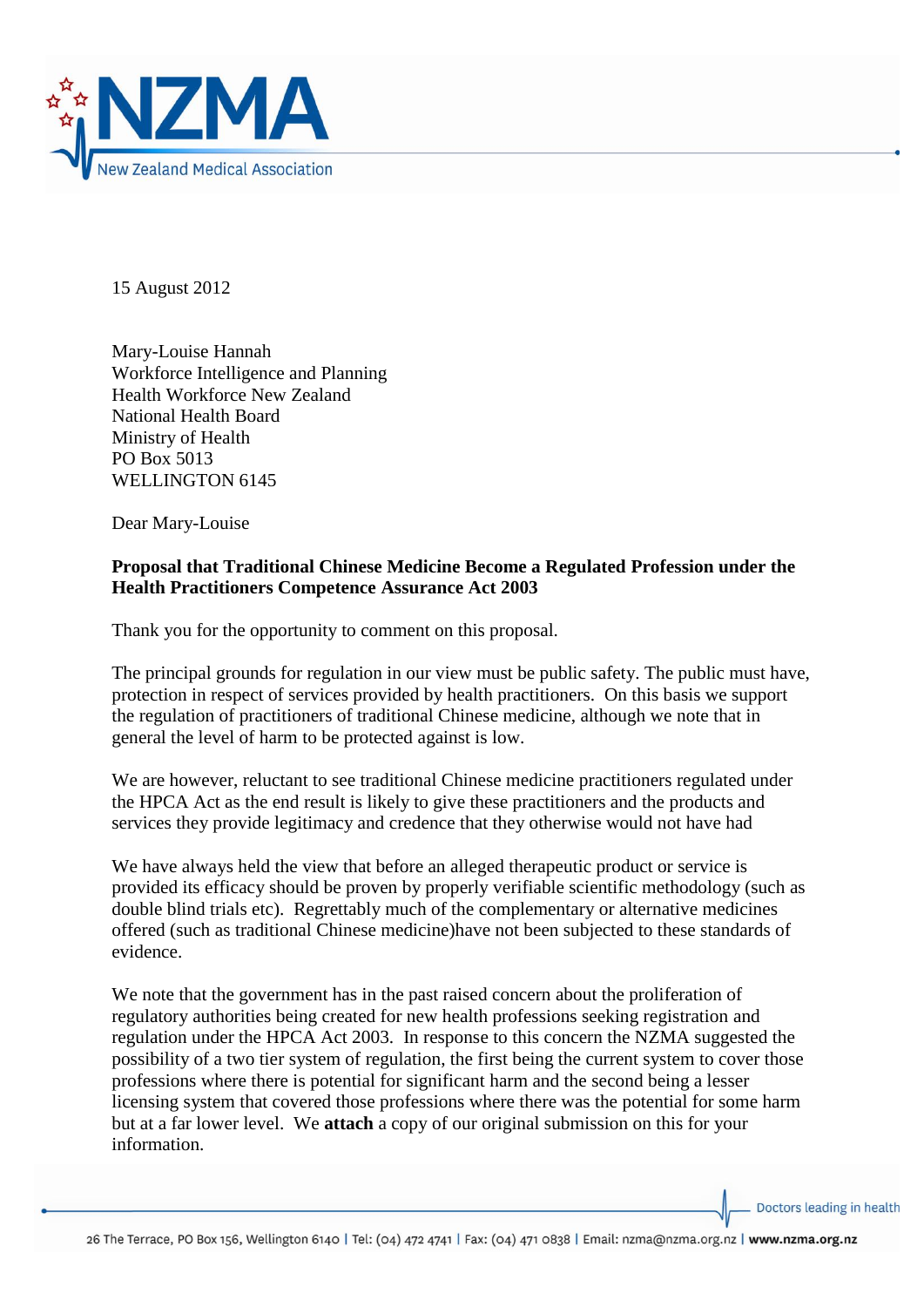

15 August 2012

Mary-Louise Hannah Workforce Intelligence and Planning Health Workforce New Zealand National Health Board Ministry of Health PO Box 5013 WELLINGTON 6145

Dear Mary-Louise

## **Proposal that Traditional Chinese Medicine Become a Regulated Profession under the Health Practitioners Competence Assurance Act 2003**

Thank you for the opportunity to comment on this proposal.

The principal grounds for regulation in our view must be public safety. The public must have, protection in respect of services provided by health practitioners. On this basis we support the regulation of practitioners of traditional Chinese medicine, although we note that in general the level of harm to be protected against is low.

We are however, reluctant to see traditional Chinese medicine practitioners regulated under the HPCA Act as the end result is likely to give these practitioners and the products and services they provide legitimacy and credence that they otherwise would not have had

We have always held the view that before an alleged therapeutic product or service is provided its efficacy should be proven by properly verifiable scientific methodology (such as double blind trials etc). Regrettably much of the complementary or alternative medicines offered (such as traditional Chinese medicine)have not been subjected to these standards of evidence.

We note that the government has in the past raised concern about the proliferation of regulatory authorities being created for new health professions seeking registration and regulation under the HPCA Act 2003. In response to this concern the NZMA suggested the possibility of a two tier system of regulation, the first being the current system to cover those professions where there is potential for significant harm and the second being a lesser licensing system that covered those professions where there was the potential for some harm but at a far lower level. We **attach** a copy of our original submission on this for your information.

Doctors leading in health